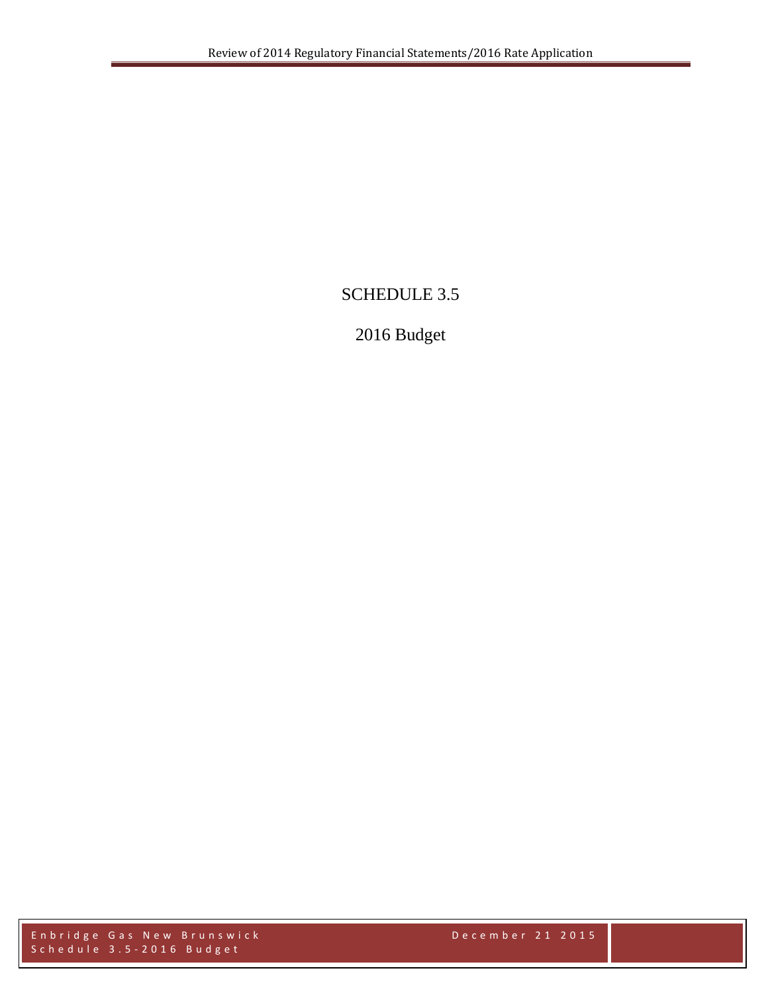# SCHEDULE 3.5

# 2016 Budget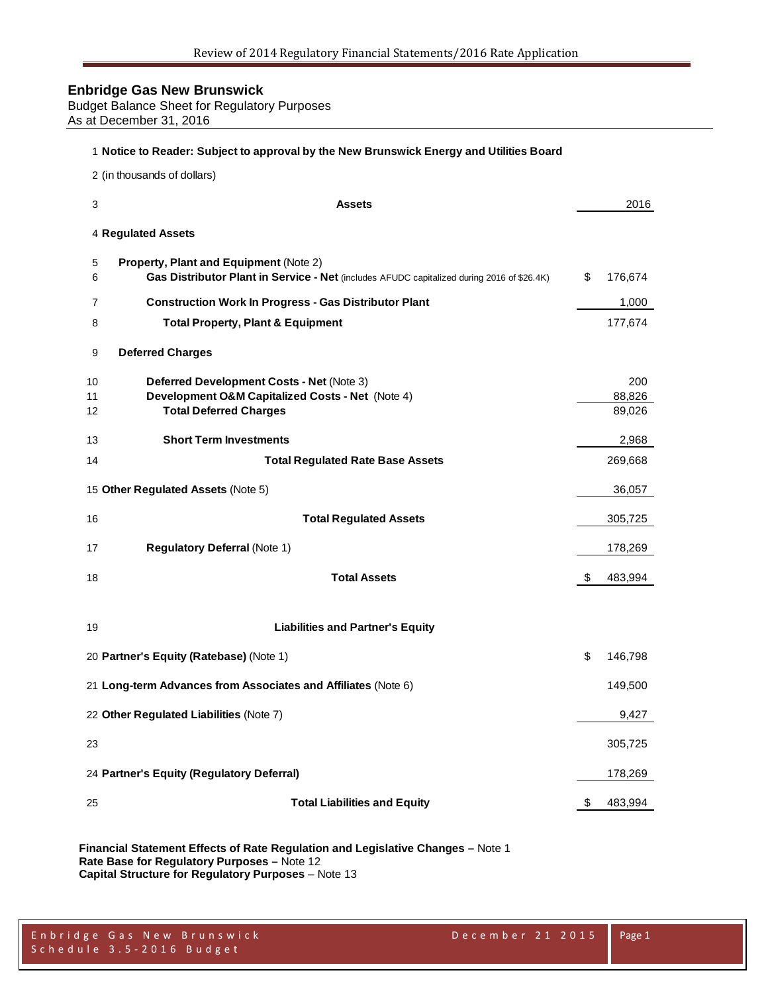Budget Balance Sheet for Regulatory Purposes As at December 31, 2016

#### **Notice to Reader: Subject to approval by the New Brunswick Energy and Utilities Board**

(in thousands of dollars)

| 3        | <b>Assets</b>                                                                                                                        | 2016             |
|----------|--------------------------------------------------------------------------------------------------------------------------------------|------------------|
|          | 4 Regulated Assets                                                                                                                   |                  |
| 5<br>6   | Property, Plant and Equipment (Note 2)<br>Gas Distributor Plant in Service - Net (includes AFUDC capitalized during 2016 of \$26.4K) | \$<br>176,674    |
| 7        | <b>Construction Work In Progress - Gas Distributor Plant</b>                                                                         | 1,000            |
| 8        | <b>Total Property, Plant &amp; Equipment</b>                                                                                         | 177,674          |
| 9        | <b>Deferred Charges</b>                                                                                                              |                  |
| 10       | <b>Deferred Development Costs - Net (Note 3)</b>                                                                                     | 200              |
| 11<br>12 | Development O&M Capitalized Costs - Net (Note 4)<br><b>Total Deferred Charges</b>                                                    | 88,826<br>89,026 |
|          |                                                                                                                                      |                  |
| 13       | <b>Short Term Investments</b>                                                                                                        | 2,968            |
| 14       | <b>Total Regulated Rate Base Assets</b>                                                                                              | 269,668          |
|          | 15 Other Regulated Assets (Note 5)                                                                                                   | 36,057           |
| 16       | <b>Total Regulated Assets</b>                                                                                                        | 305,725          |
| 17       | <b>Regulatory Deferral (Note 1)</b>                                                                                                  | 178,269          |
| 18       | <b>Total Assets</b>                                                                                                                  | \$<br>483,994    |
|          |                                                                                                                                      |                  |
| 19       | <b>Liabilities and Partner's Equity</b>                                                                                              |                  |
|          | 20 Partner's Equity (Ratebase) (Note 1)                                                                                              | \$<br>146,798    |
|          | 21 Long-term Advances from Associates and Affiliates (Note 6)                                                                        | 149,500          |
|          | 22 Other Regulated Liabilities (Note 7)                                                                                              | 9,427            |
| 23       |                                                                                                                                      | 305,725          |
|          | 24 Partner's Equity (Regulatory Deferral)                                                                                            | 178,269          |
| 25       | <b>Total Liabilities and Equity</b>                                                                                                  | \$<br>483,994    |

**Financial Statement Effects of Rate Regulation and Legislative Changes –** Note 1 **Rate Base for Regulatory Purposes –** Note 12 **Capital Structure for Regulatory Purposes** – Note 13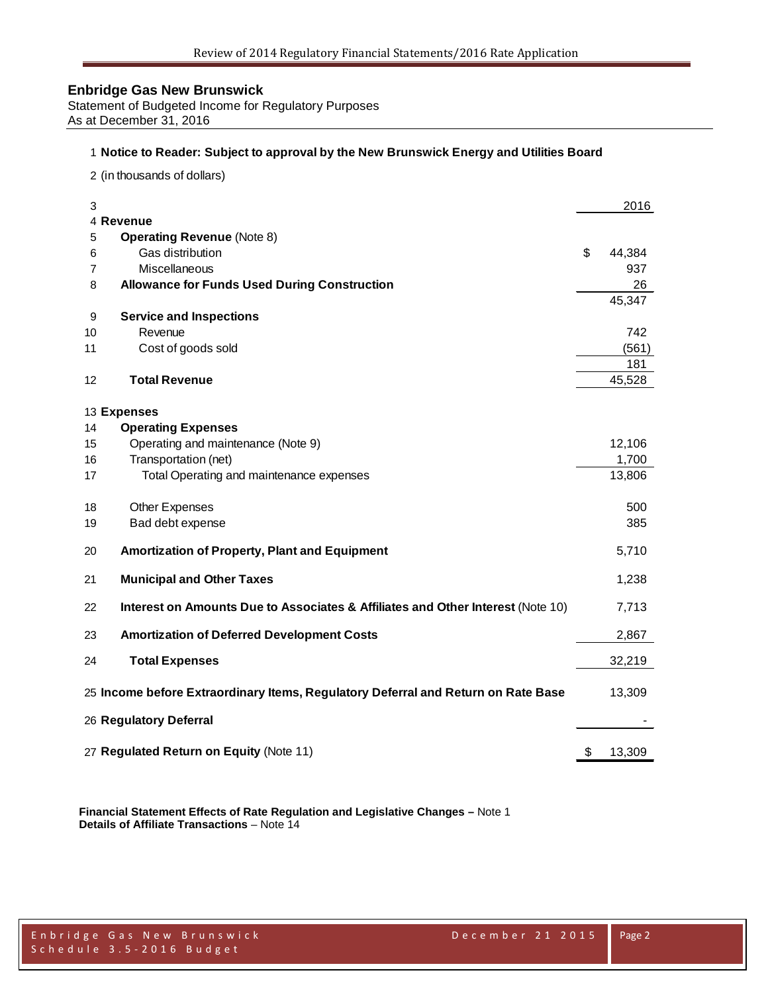Statement of Budgeted Income for Regulatory Purposes As at December 31, 2016

#### **Notice to Reader: Subject to approval by the New Brunswick Energy and Utilities Board**

(in thousands of dollars)

| 3  | 4 Revenue                                                                         | 2016         |
|----|-----------------------------------------------------------------------------------|--------------|
| 5  | <b>Operating Revenue (Note 8)</b>                                                 |              |
| 6  | Gas distribution                                                                  | \$<br>44,384 |
| 7  | Miscellaneous                                                                     | 937          |
| 8  | <b>Allowance for Funds Used During Construction</b>                               | 26           |
|    |                                                                                   | 45,347       |
| 9  | <b>Service and Inspections</b>                                                    |              |
| 10 | Revenue                                                                           | 742          |
| 11 | Cost of goods sold                                                                | (561)        |
|    |                                                                                   | 181          |
| 12 | <b>Total Revenue</b>                                                              | 45,528       |
|    |                                                                                   |              |
|    | 13 Expenses                                                                       |              |
| 14 | <b>Operating Expenses</b>                                                         |              |
| 15 | Operating and maintenance (Note 9)                                                | 12,106       |
| 16 | Transportation (net)                                                              | 1,700        |
| 17 | Total Operating and maintenance expenses                                          | 13,806       |
|    |                                                                                   |              |
| 18 | Other Expenses                                                                    | 500          |
| 19 | Bad debt expense                                                                  | 385          |
| 20 | <b>Amortization of Property, Plant and Equipment</b>                              | 5,710        |
| 21 | <b>Municipal and Other Taxes</b>                                                  | 1,238        |
| 22 | Interest on Amounts Due to Associates & Affiliates and Other Interest (Note 10)   | 7,713        |
| 23 | <b>Amortization of Deferred Development Costs</b>                                 | 2,867        |
|    |                                                                                   |              |
| 24 | <b>Total Expenses</b>                                                             | 32,219       |
|    | 25 Income before Extraordinary Items, Regulatory Deferral and Return on Rate Base | 13,309       |
|    | 26 Regulatory Deferral                                                            |              |
|    |                                                                                   |              |
|    | 27 Regulated Return on Equity (Note 11)                                           | \$<br>13,309 |

**Financial Statement Effects of Rate Regulation and Legislative Changes –** Note 1 **Details of Affiliate Transactions** – Note 14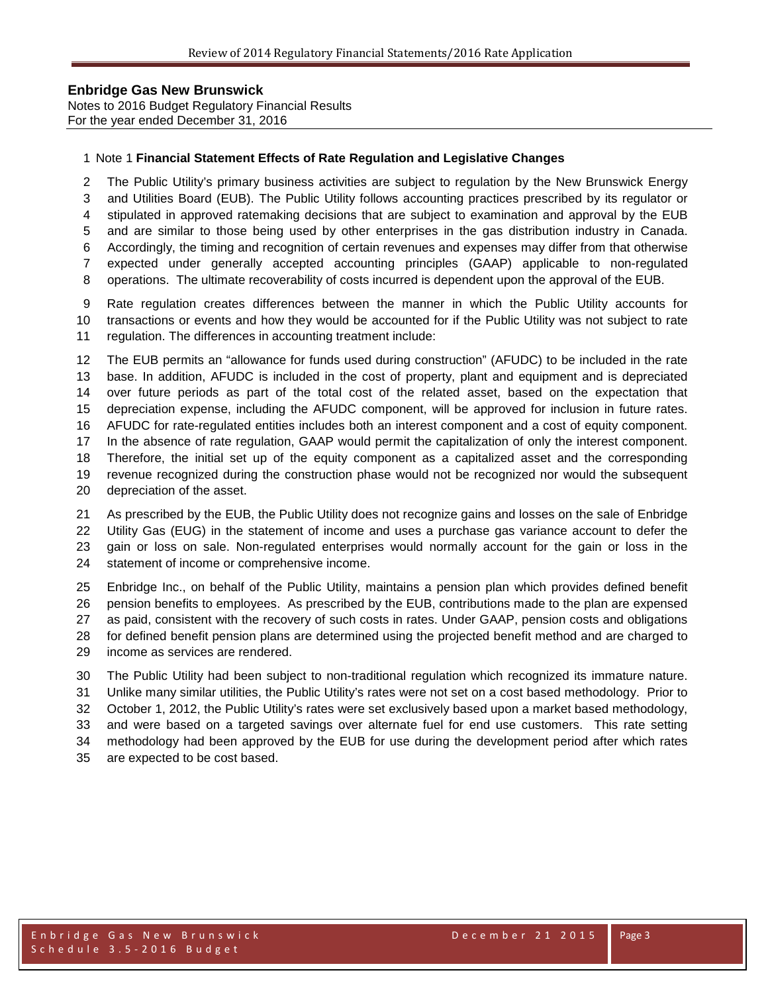Notes to 2016 Budget Regulatory Financial Results For the year ended December 31, 2016

#### Note 1 **Financial Statement Effects of Rate Regulation and Legislative Changes**

The Public Utility's primary business activities are subject to regulation by the New Brunswick Energy

and Utilities Board (EUB). The Public Utility follows accounting practices prescribed by its regulator or

stipulated in approved ratemaking decisions that are subject to examination and approval by the EUB

and are similar to those being used by other enterprises in the gas distribution industry in Canada.

Accordingly, the timing and recognition of certain revenues and expenses may differ from that otherwise

expected under generally accepted accounting principles (GAAP) applicable to non-regulated

operations. The ultimate recoverability of costs incurred is dependent upon the approval of the EUB.

 Rate regulation creates differences between the manner in which the Public Utility accounts for transactions or events and how they would be accounted for if the Public Utility was not subject to rate regulation. The differences in accounting treatment include:

 The EUB permits an "allowance for funds used during construction" (AFUDC) to be included in the rate base. In addition, AFUDC is included in the cost of property, plant and equipment and is depreciated over future periods as part of the total cost of the related asset, based on the expectation that depreciation expense, including the AFUDC component, will be approved for inclusion in future rates. AFUDC for rate-regulated entities includes both an interest component and a cost of equity component. In the absence of rate regulation, GAAP would permit the capitalization of only the interest component. Therefore, the initial set up of the equity component as a capitalized asset and the corresponding revenue recognized during the construction phase would not be recognized nor would the subsequent depreciation of the asset.

 As prescribed by the EUB, the Public Utility does not recognize gains and losses on the sale of Enbridge Utility Gas (EUG) in the statement of income and uses a purchase gas variance account to defer the gain or loss on sale. Non-regulated enterprises would normally account for the gain or loss in the statement of income or comprehensive income.

 Enbridge Inc., on behalf of the Public Utility, maintains a pension plan which provides defined benefit pension benefits to employees. As prescribed by the EUB, contributions made to the plan are expensed as paid, consistent with the recovery of such costs in rates. Under GAAP, pension costs and obligations for defined benefit pension plans are determined using the projected benefit method and are charged to income as services are rendered.

 The Public Utility had been subject to non-traditional regulation which recognized its immature nature. Unlike many similar utilities, the Public Utility's rates were not set on a cost based methodology. Prior to October 1, 2012, the Public Utility's rates were set exclusively based upon a market based methodology, and were based on a targeted savings over alternate fuel for end use customers. This rate setting methodology had been approved by the EUB for use during the development period after which rates are expected to be cost based.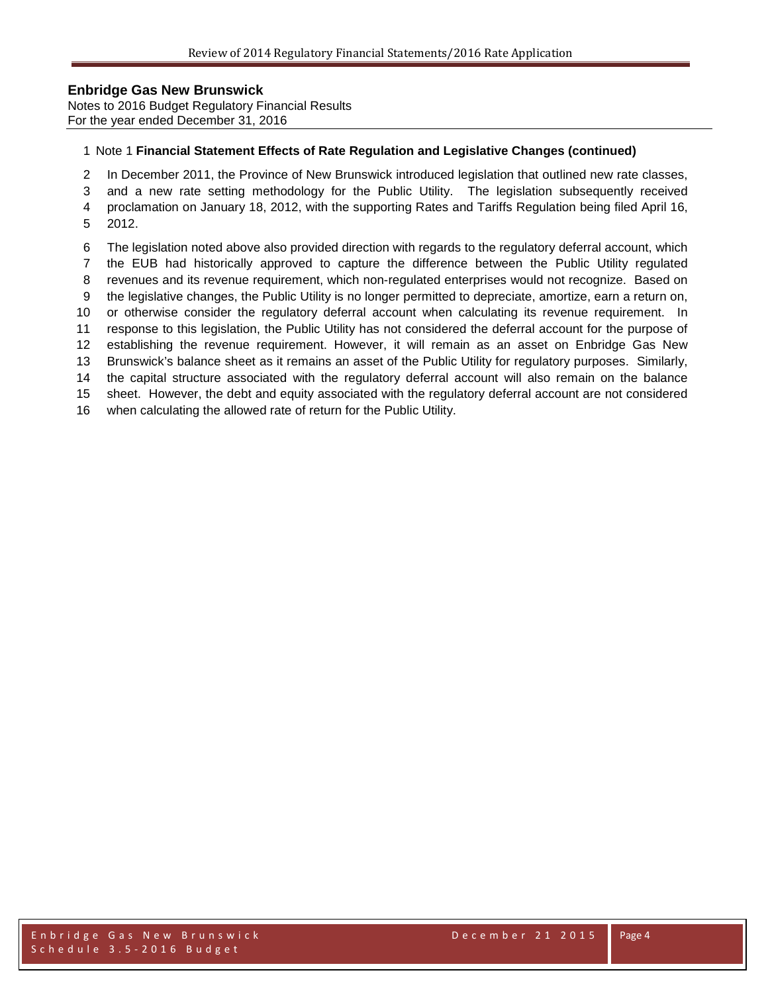Notes to 2016 Budget Regulatory Financial Results For the year ended December 31, 2016

#### Note 1 **Financial Statement Effects of Rate Regulation and Legislative Changes (continued)**

In December 2011, the Province of New Brunswick introduced legislation that outlined new rate classes,

 and a new rate setting methodology for the Public Utility. The legislation subsequently received proclamation on January 18, 2012, with the supporting Rates and Tariffs Regulation being filed April 16,

- 2012.
- The legislation noted above also provided direction with regards to the regulatory deferral account, which

the EUB had historically approved to capture the difference between the Public Utility regulated

- revenues and its revenue requirement, which non-regulated enterprises would not recognize. Based on
- the legislative changes, the Public Utility is no longer permitted to depreciate, amortize, earn a return on,
- or otherwise consider the regulatory deferral account when calculating its revenue requirement. In
- response to this legislation, the Public Utility has not considered the deferral account for the purpose of establishing the revenue requirement. However, it will remain as an asset on Enbridge Gas New

Brunswick's balance sheet as it remains an asset of the Public Utility for regulatory purposes. Similarly,

the capital structure associated with the regulatory deferral account will also remain on the balance

sheet. However, the debt and equity associated with the regulatory deferral account are not considered

when calculating the allowed rate of return for the Public Utility.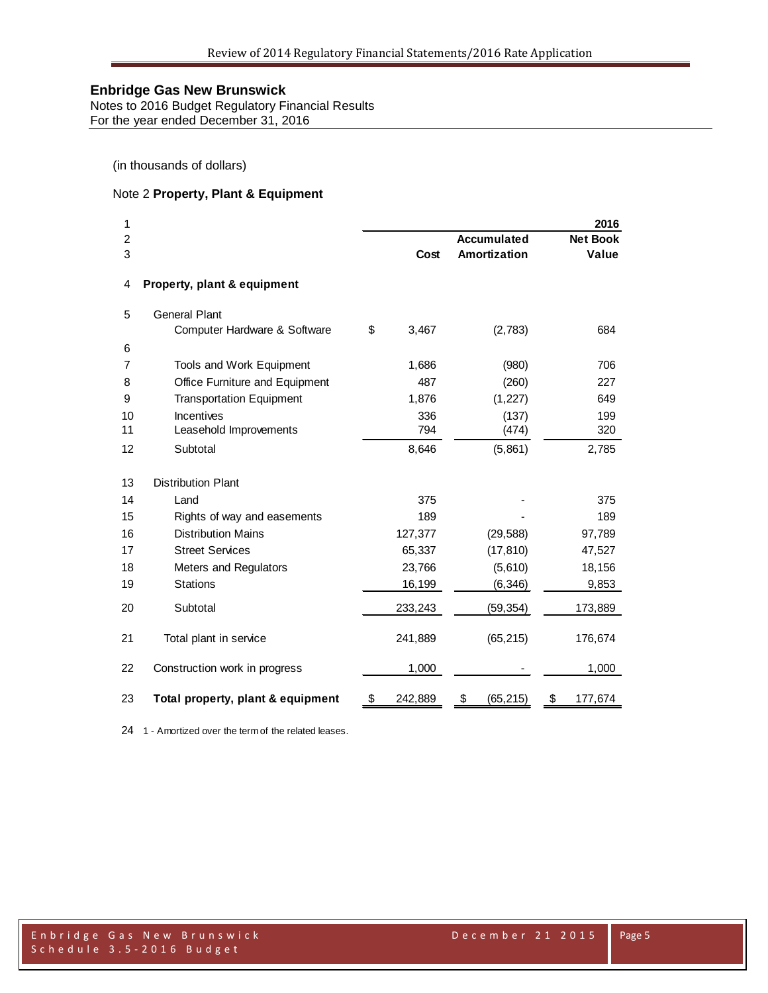Notes to 2016 Budget Regulatory Financial Results For the year ended December 31, 2016

(in thousands of dollars)

## Note 2 **Property, Plant & Equipment**

| 1<br>$\overline{2}$ |                                   |               | <b>Accumulated</b> | 2016<br><b>Net Book</b> |
|---------------------|-----------------------------------|---------------|--------------------|-------------------------|
| 3                   |                                   | Cost          | Amortization       | Value                   |
| 4                   | Property, plant & equipment       |               |                    |                         |
| 5                   | <b>General Plant</b>              |               |                    |                         |
|                     | Computer Hardware & Software      | \$<br>3,467   | (2,783)            | 684                     |
| 6                   |                                   |               |                    |                         |
| 7                   | Tools and Work Equipment          | 1,686         | (980)              | 706                     |
| 8                   | Office Furniture and Equipment    | 487           | (260)              | 227                     |
| 9                   | <b>Transportation Equipment</b>   | 1,876         | (1, 227)           | 649                     |
| 10                  | Incentives                        | 336           | (137)              | 199                     |
| 11                  | Leasehold Improvements            | 794           | (474)              | 320                     |
| 12                  | Subtotal                          | 8,646         | (5,861)            | 2,785                   |
| 13                  | <b>Distribution Plant</b>         |               |                    |                         |
| 14                  | Land                              | 375           |                    | 375                     |
| 15                  | Rights of way and easements       | 189           |                    | 189                     |
| 16                  | <b>Distribution Mains</b>         | 127,377       | (29, 588)          | 97,789                  |
| 17                  | <b>Street Services</b>            | 65,337        | (17, 810)          | 47,527                  |
| 18                  | Meters and Regulators             | 23,766        | (5,610)            | 18,156                  |
| 19                  | <b>Stations</b>                   | 16,199        | (6, 346)           | 9,853                   |
| 20                  | Subtotal                          | 233,243       | (59, 354)          | 173,889                 |
| 21                  | Total plant in service            | 241,889       | (65, 215)          | 176,674                 |
| 22                  | Construction work in progress     | 1,000         |                    | 1,000                   |
| 23                  | Total property, plant & equipment | \$<br>242,889 | \$<br>(65, 215)    | \$<br>177,674           |

1 - Amortized over the term of the related leases.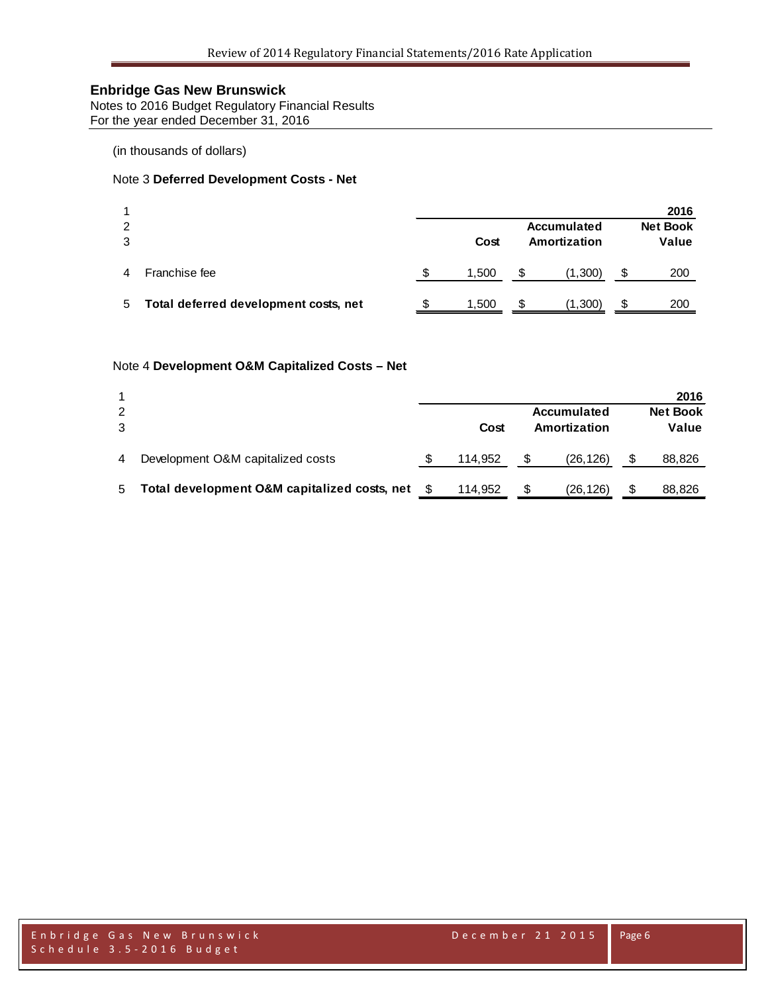Notes to 2016 Budget Regulatory Financial Results For the year ended December 31, 2016

(in thousands of dollars)

## Note 3 **Deferred Development Costs - Net**

|               |                                       |   |                      |   |             |   | 2016            |
|---------------|---------------------------------------|---|----------------------|---|-------------|---|-----------------|
| $\mathcal{P}$ |                                       |   |                      |   | Accumulated |   | <b>Net Book</b> |
| 3             |                                       |   | Amortization<br>Cost |   |             |   | Value           |
|               | Franchise fee                         | S | 1,500                | S | (1,300)     | S | 200             |
| 5             | Total deferred development costs, net | S | 1,500                | S | (1,300)     | S | 200             |

## Note 4 **Development O&M Capitalized Costs – Net**

|   |                                              |         |              |             |       | 2016            |
|---|----------------------------------------------|---------|--------------|-------------|-------|-----------------|
| 2 |                                              |         |              | Accumulated |       | <b>Net Book</b> |
| 3 |                                              | Cost    | Amortization |             | Value |                 |
|   |                                              |         |              |             |       |                 |
| 4 | Development O&M capitalized costs            | 114.952 |              | (26, 126)   |       | 88,826          |
|   |                                              |         |              |             |       |                 |
| 5 | Total development O&M capitalized costs, net | 114.952 | S            | (26,126)    |       | 88,826          |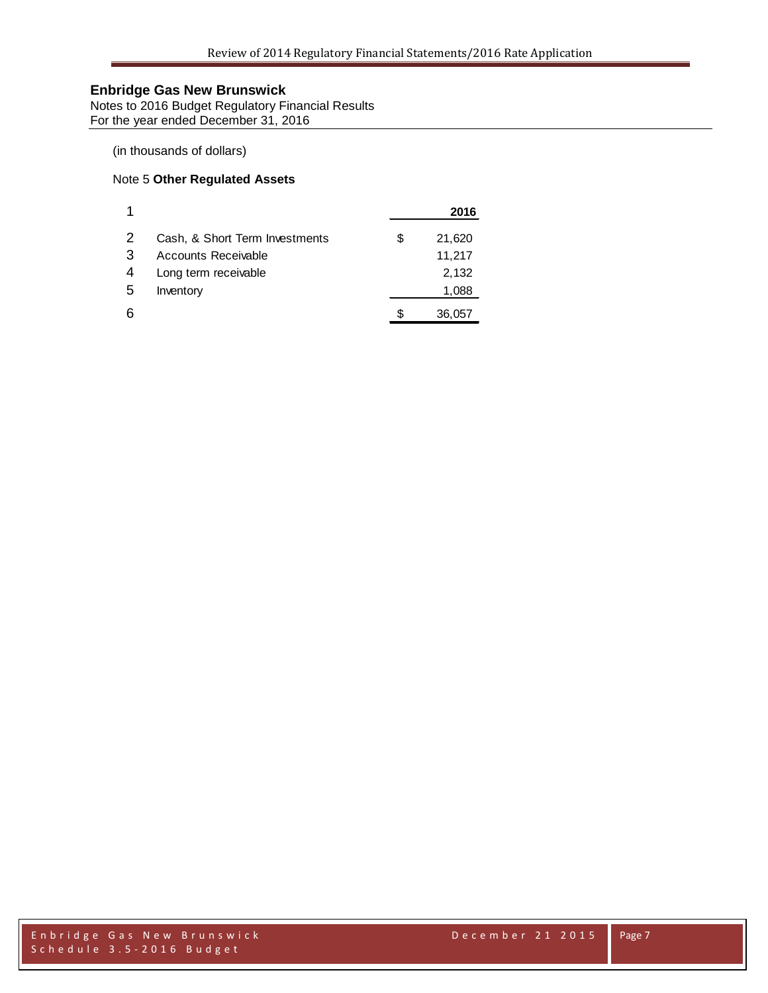Notes to 2016 Budget Regulatory Financial Results For the year ended December 31, 2016

## (in thousands of dollars)

## Note 5 **Other Regulated Assets**

|   |                                |   | 2016   |
|---|--------------------------------|---|--------|
| 2 | Cash, & Short Term Investments | S | 21,620 |
| 3 | Accounts Receivable            |   | 11,217 |
| 4 | Long term receivable           |   | 2,132  |
| 5 | Inventory                      |   | 1,088  |
|   |                                |   | 36,057 |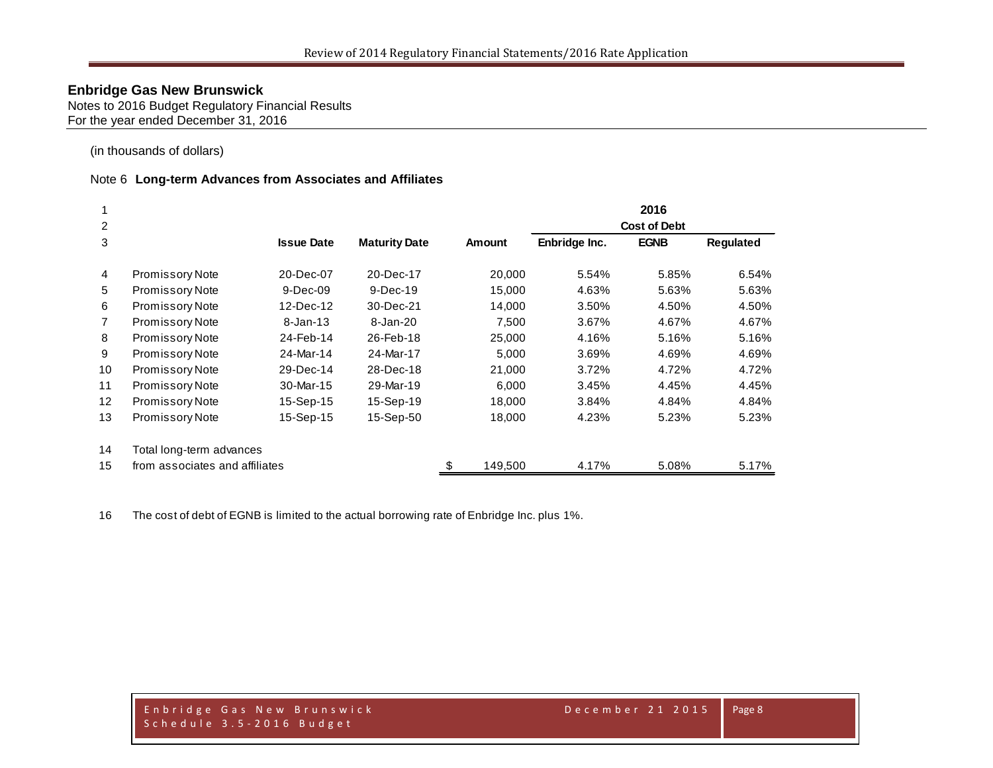Notes to 2016 Budget Regulatory Financial Results For the year ended December 31, 2016

(in thousands of dollars)

#### Note 6 **Long-term Advances from Associates and Affiliates**

|                 |                                |                   |                      |               |                     | 2016        |                  |
|-----------------|--------------------------------|-------------------|----------------------|---------------|---------------------|-------------|------------------|
| 2               |                                |                   |                      |               | <b>Cost of Debt</b> |             |                  |
| 3               |                                | <b>Issue Date</b> | <b>Maturity Date</b> | Amount        | Enbridge Inc.       | <b>EGNB</b> | <b>Requlated</b> |
| $\overline{4}$  | Promissory Note                | 20-Dec-07         | 20-Dec-17            | 20,000        | 5.54%               | 5.85%       | 6.54%            |
| 5               | <b>Promissory Note</b>         | $9-Dec-09$        | $9-Dec-19$           | 15,000        | 4.63%               | 5.63%       | 5.63%            |
| 6               | Promissory Note                | 12-Dec-12         | 30-Dec-21            | 14,000        | 3.50%               | 4.50%       | 4.50%            |
| 7               | <b>Promissory Note</b>         | $8 - Jan - 13$    | 8-Jan-20             | 7,500         | 3.67%               | 4.67%       | 4.67%            |
| 8               | Promissory Note                | 24-Feb-14         | 26-Feb-18            | 25,000        | 4.16%               | 5.16%       | 5.16%            |
| 9               | Promissory Note                | 24-Mar-14         | 24-Mar-17            | 5,000         | 3.69%               | 4.69%       | 4.69%            |
| 10              | <b>Promissory Note</b>         | 29-Dec-14         | 28-Dec-18            | 21,000        | 3.72%               | 4.72%       | 4.72%            |
| 11              | <b>Promissory Note</b>         | 30-Mar-15         | 29-Mar-19            | 6,000         | 3.45%               | 4.45%       | 4.45%            |
| 12 <sup>2</sup> | Promissory Note                | 15-Sep-15         | 15-Sep-19            | 18,000        | 3.84%               | 4.84%       | 4.84%            |
| 13              | Promissory Note                | 15-Sep-15         | 15-Sep-50            | 18,000        | 4.23%               | 5.23%       | 5.23%            |
| 14              | Total long-term advances       |                   |                      |               |                     |             |                  |
| 15              | from associates and affiliates |                   |                      | \$<br>149.500 | 4.17%               | 5.08%       | 5.17%            |

The cost of debt of EGNB is limited to the actual borrowing rate of Enbridge Inc. plus 1%.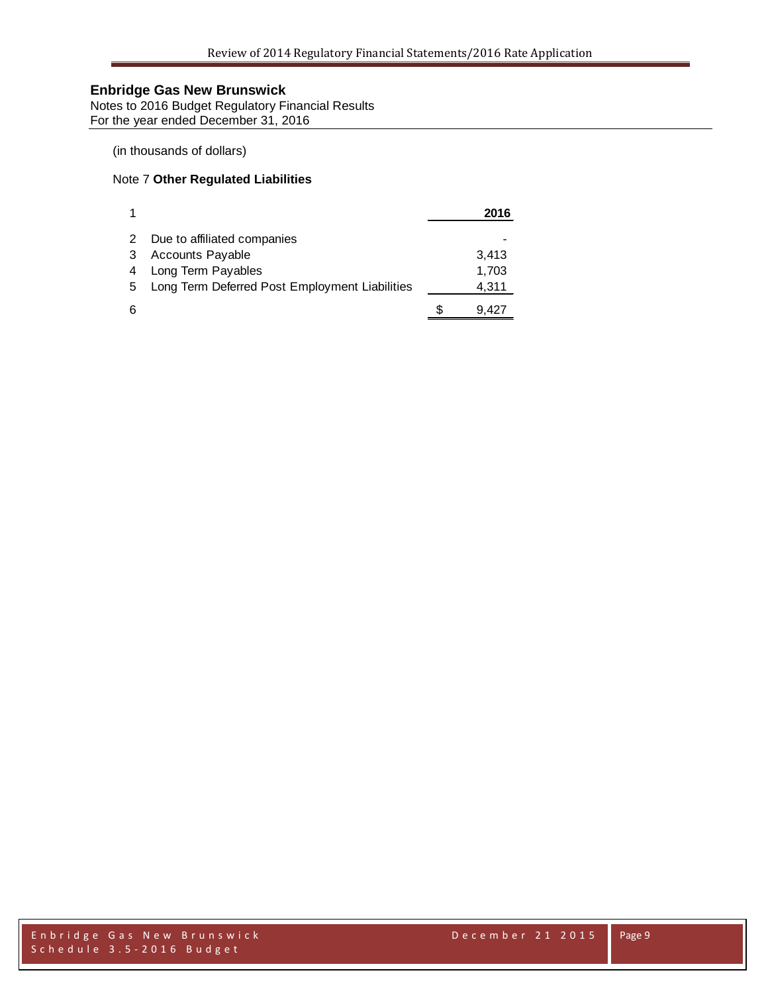Notes to 2016 Budget Regulatory Financial Results For the year ended December 31, 2016

## (in thousands of dollars)

## Note 7 **Other Regulated Liabilities**

|    |                                                | 2016  |
|----|------------------------------------------------|-------|
| 2  | Due to affiliated companies                    |       |
| 3  | Accounts Payable                               | 3,413 |
| 4  | Long Term Payables                             | 1,703 |
| -5 | Long Term Deferred Post Employment Liabilities | 4,311 |
| 6  |                                                | 9.427 |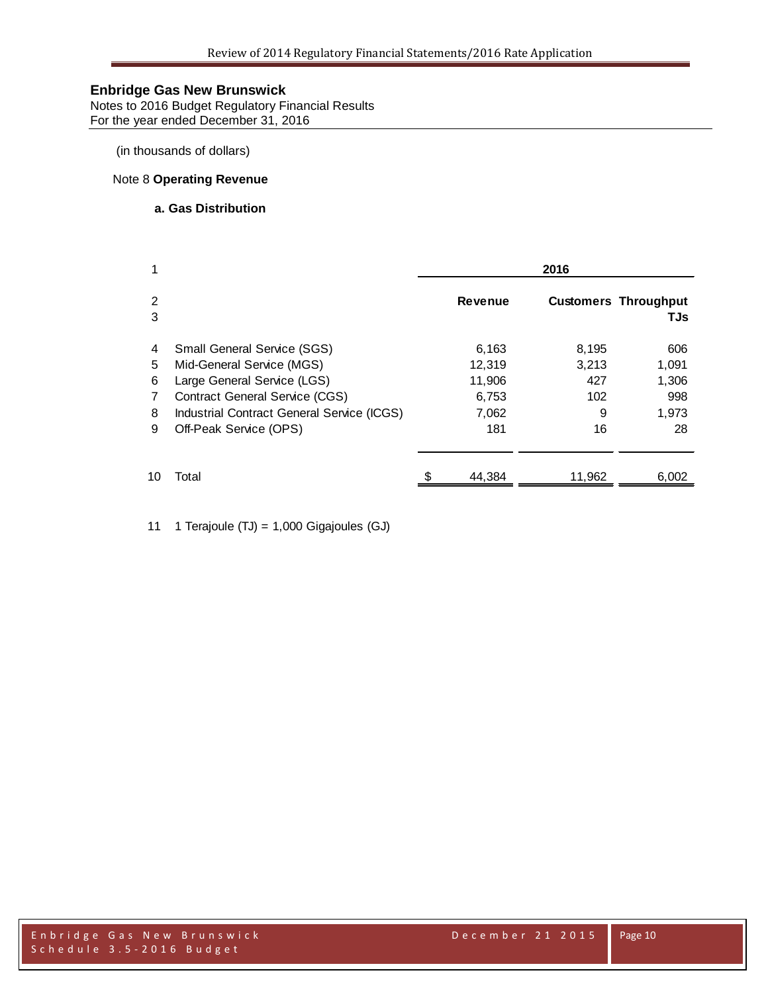Notes to 2016 Budget Regulatory Financial Results For the year ended December 31, 2016

(in thousands of dollars)

## Note 8 **Operating Revenue**

## **a. Gas Distribution**

| 1      |                                            | 2016 |                |        |                                    |  |
|--------|--------------------------------------------|------|----------------|--------|------------------------------------|--|
| 2<br>3 |                                            |      | <b>Revenue</b> |        | <b>Customers Throughput</b><br>TJs |  |
| 4      | <b>Small General Service (SGS)</b>         |      | 6,163          | 8,195  | 606                                |  |
| 5      | Mid-General Service (MGS)                  |      | 12,319         | 3,213  | 1,091                              |  |
| 6      | Large General Service (LGS)                |      | 11,906         | 427    | 1,306                              |  |
| 7      | <b>Contract General Service (CGS)</b>      |      | 6,753          | 102    | 998                                |  |
| 8      | Industrial Contract General Service (ICGS) |      | 7,062          | 9      | 1,973                              |  |
| 9      | Off-Peak Service (OPS)                     |      | 181            | 16     | 28                                 |  |
| 10     | Total                                      |      | 44.384         | 11.962 | 6,002                              |  |

11 1 Terajoule (TJ) = 1,000 Gigajoules (GJ)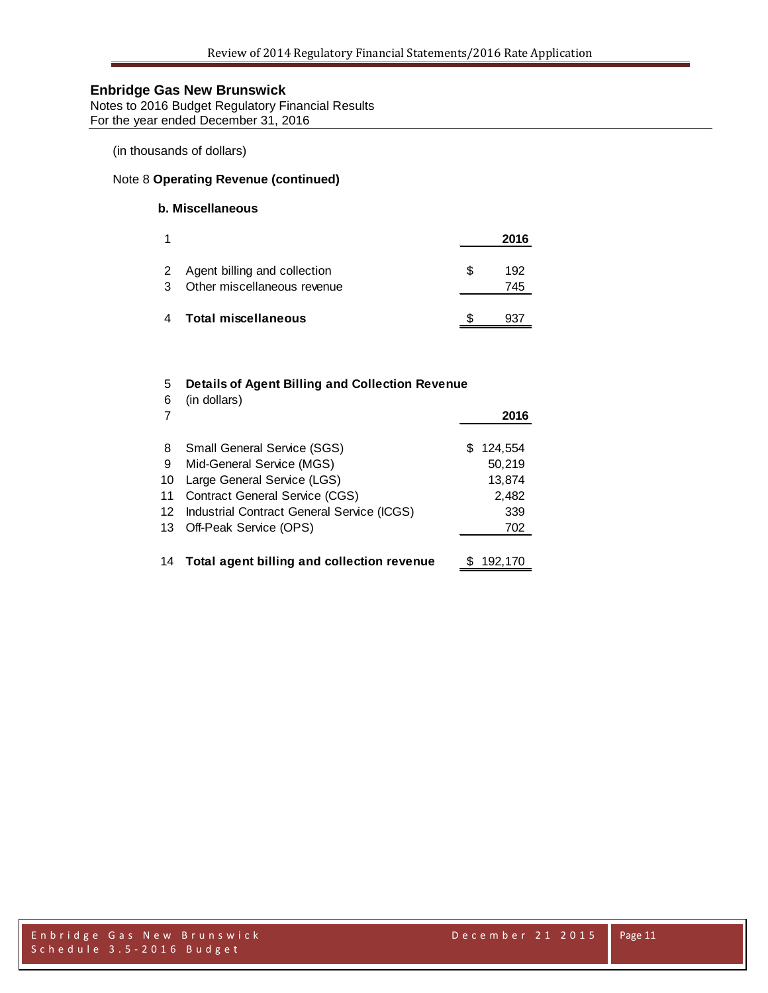Notes to 2016 Budget Regulatory Financial Results For the year ended December 31, 2016

(in thousands of dollars)

## Note 8 **Operating Revenue (continued)**

## **b. Miscellaneous**

| 1 |                                                               |    | 2016       |
|---|---------------------------------------------------------------|----|------------|
| 3 | 2 Agent billing and collection<br>Other miscellaneous revenue | £. | 192<br>745 |
| 4 | <b>Total miscellaneous</b>                                    |    | 43'        |

# 5 **Details of Agent Billing and Collection Revenue**

| 6<br>7 | (in dollars)                                  |    | 2016    |
|--------|-----------------------------------------------|----|---------|
| 8      | Small General Service (SGS)                   | S. | 124,554 |
| 9      | Mid-General Service (MGS)                     |    | 50,219  |
| 10     | Large General Service (LGS)                   |    | 13,874  |
| 11     | Contract General Service (CGS)                |    | 2,482   |
|        | 12 Industrial Contract General Service (ICGS) |    | 339     |
|        | 13 Off-Peak Service (OPS)                     |    | 702     |
|        |                                               |    |         |
|        | 14 Total agent billing and collection revenue |    | 192.170 |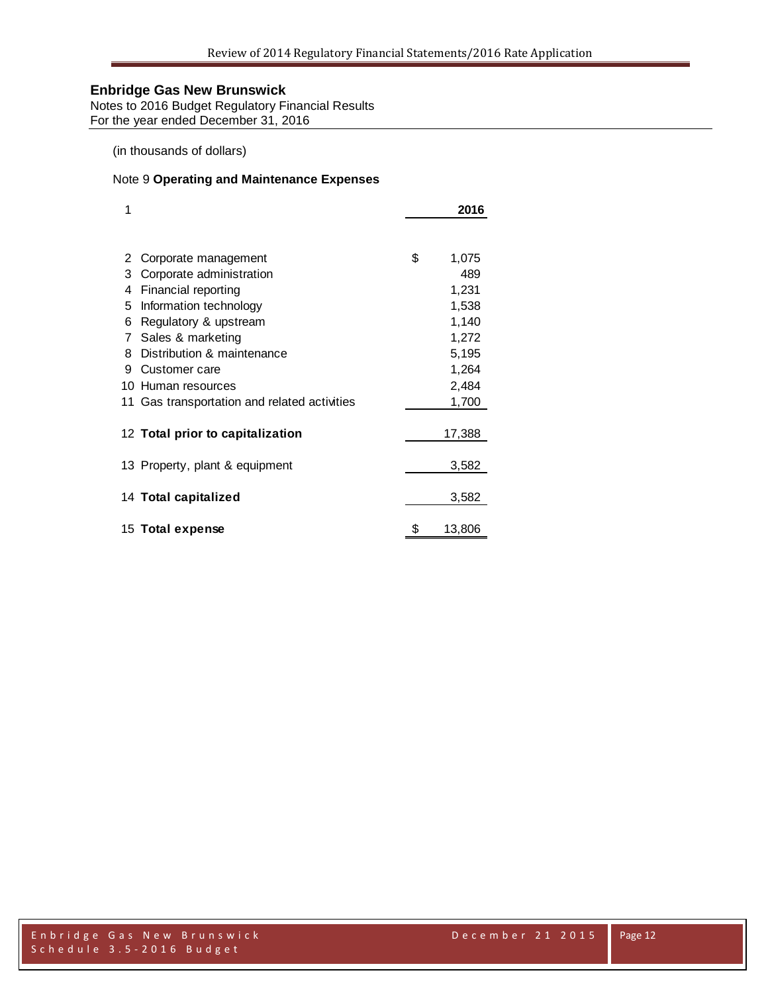Notes to 2016 Budget Regulatory Financial Results For the year ended December 31, 2016

(in thousands of dollars)

## Note 9 **Operating and Maintenance Expenses**

| 1  |                                              |    | 2016   |
|----|----------------------------------------------|----|--------|
|    |                                              |    |        |
| 2  | Corporate management                         | \$ | 1,075  |
| 3  | Corporate administration                     |    | 489    |
| 4  | Financial reporting                          |    | 1,231  |
| 5  | Information technology                       |    | 1,538  |
| 6  | Regulatory & upstream                        |    | 1,140  |
| 7  | Sales & marketing                            |    | 1,272  |
| 8  | Distribution & maintenance                   |    | 5,195  |
| 9  | Customer care                                |    | 1,264  |
| 10 | Human resources                              |    | 2,484  |
|    | 11 Gas transportation and related activities |    | 1,700  |
|    |                                              |    |        |
|    | 12 Total prior to capitalization             |    | 17,388 |
|    | 13 Property, plant & equipment               |    | 3,582  |
|    |                                              |    |        |
|    | 14 Total capitalized                         |    | 3,582  |
|    | 15 Total expense                             | S  | 13,806 |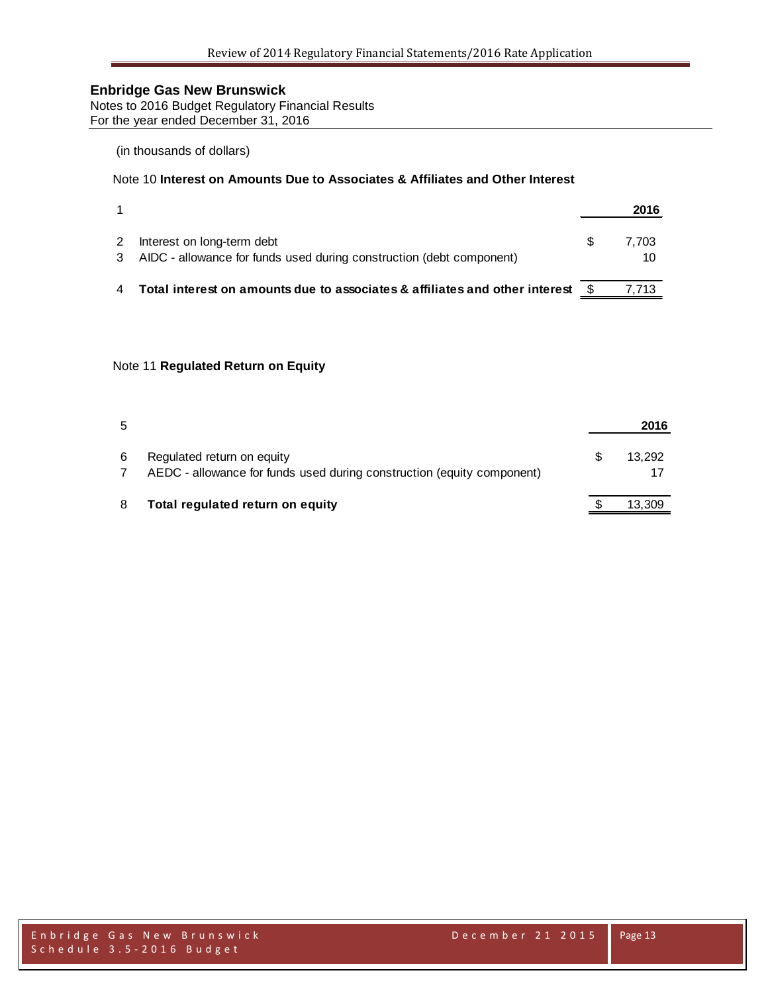Notes to 2016 Budget Regulatory Financial Results For the year ended December 31, 2016

## (in thousands of dollars)

## Note 10 **Interest on Amounts Due to Associates & Affiliates and Other Interest**

|                                                                                                      | 2016        |
|------------------------------------------------------------------------------------------------------|-------------|
| Interest on long-term debt<br>3 AIDC - allowance for funds used during construction (debt component) | 7.703<br>10 |
| Total interest on amounts due to associates & affiliates and other interest \$                       | 7.713       |

### Note 11 **Regulated Return on Equity**

| 5 |                                                                                                      | 2016   |
|---|------------------------------------------------------------------------------------------------------|--------|
| 6 | Regulated return on equity<br>AEDC - allowance for funds used during construction (equity component) | 13.292 |
| 8 | Total regulated return on equity                                                                     | 13,309 |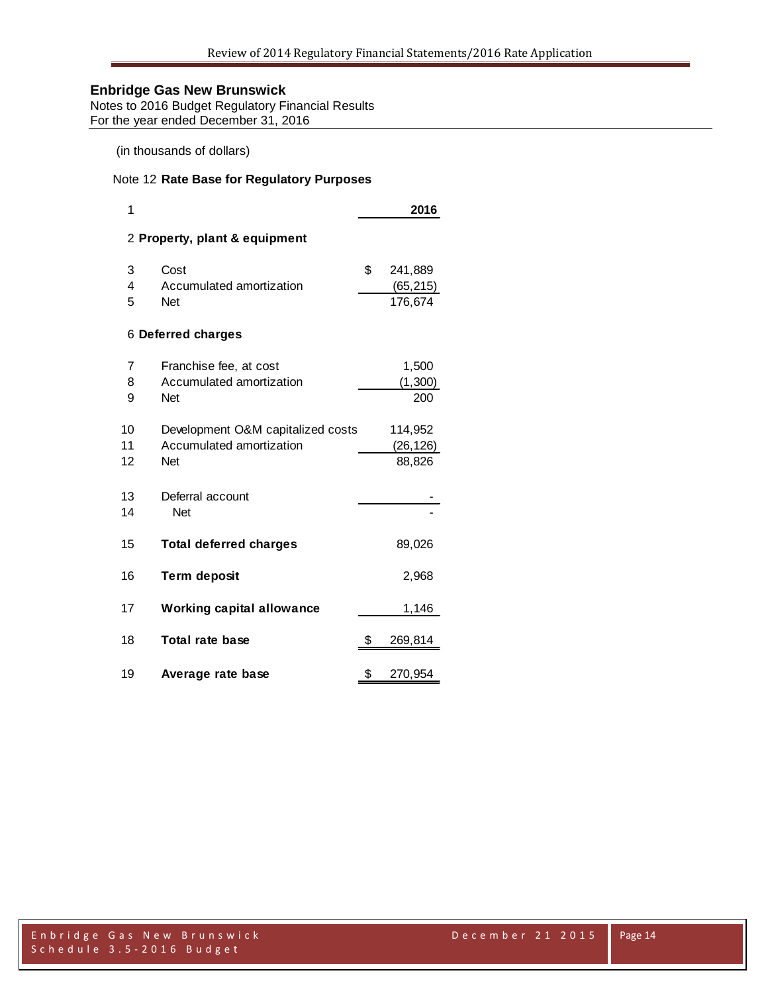Notes to 2016 Budget Regulatory Financial Results For the year ended December 31, 2016

(in thousands of dollars)

## Note 12 **Rate Base for Regulatory Purposes**

| 1  |                                   | 2016          |
|----|-----------------------------------|---------------|
|    | 2 Property, plant & equipment     |               |
| 3  | Cost                              | \$<br>241,889 |
| 4  | Accumulated amortization          | (65, 215)     |
| 5  | <b>Net</b>                        | 176,674       |
|    | 6 Deferred charges                |               |
| 7  | Franchise fee, at cost            | 1,500         |
| 8  | Accumulated amortization          | (1,300)       |
| 9  | Net                               | 200           |
| 10 | Development O&M capitalized costs | 114,952       |
| 11 | Accumulated amortization          | (26, 126)     |
| 12 | <b>Net</b>                        | 88,826        |
| 13 | Deferral account                  |               |
| 14 | <b>Net</b>                        |               |
| 15 | <b>Total deferred charges</b>     | 89,026        |
| 16 | <b>Term deposit</b>               | 2,968         |
| 17 | <b>Working capital allowance</b>  | 1,146         |
| 18 | <b>Total rate base</b>            | \$<br>269,814 |
| 19 | Average rate base                 | \$<br>270,954 |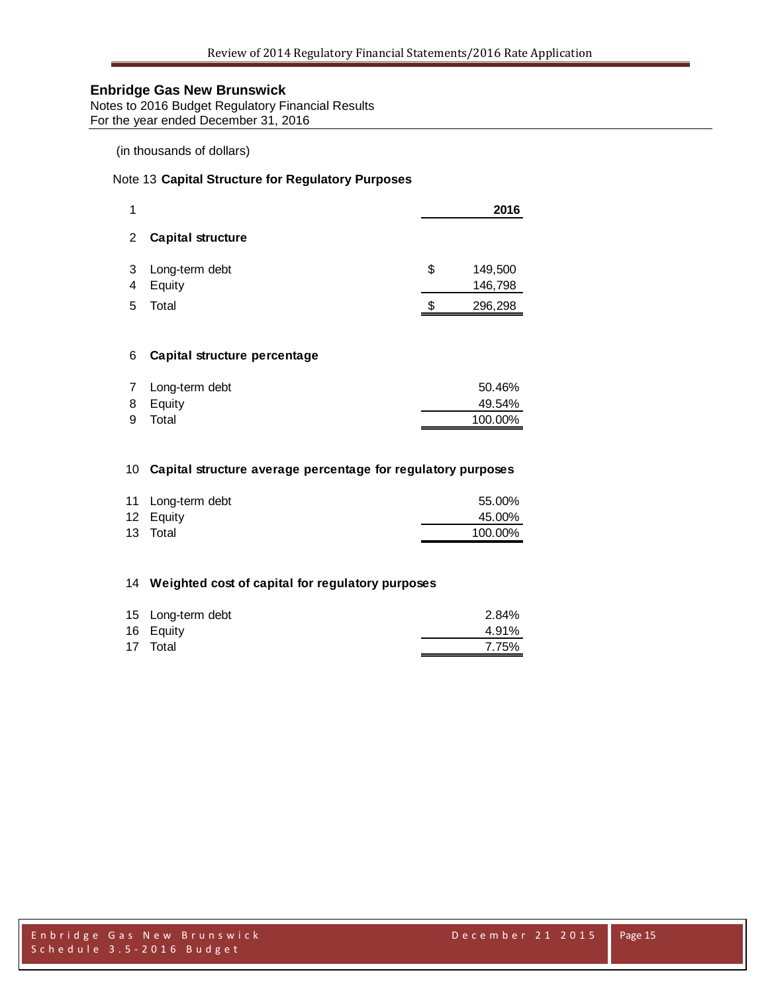Notes to 2016 Budget Regulatory Financial Results For the year ended December 31, 2016

## (in thousands of dollars)

### Note 13 **Capital Structure for Regulatory Purposes**

| 1           |                              |    | 2016               |
|-------------|------------------------------|----|--------------------|
| $2^{\circ}$ | <b>Capital structure</b>     |    |                    |
| 3<br>4      | Long-term debt<br>Equity     | \$ | 149,500<br>146,798 |
| 5           | Total                        | S  | 296,298            |
|             |                              |    |                    |
| 6           | Capital structure percentage |    |                    |

| 7 Long-term debt | 50.46%  |
|------------------|---------|
| 8 Equity         | 49.54%  |
| 9 Total          | 100.00% |

#### **Capital structure average percentage for regulatory purposes**

| 11 Long-term debt | 55.00%  |
|-------------------|---------|
| 12 Equity         | 45.00%  |
| 13 Total          | 100.00% |

#### **Weighted cost of capital for regulatory purposes**

| 15 Long-term debt | 2.84% |
|-------------------|-------|
| 16 Equity         | 4.91% |
| 17 Total          | 7.75% |